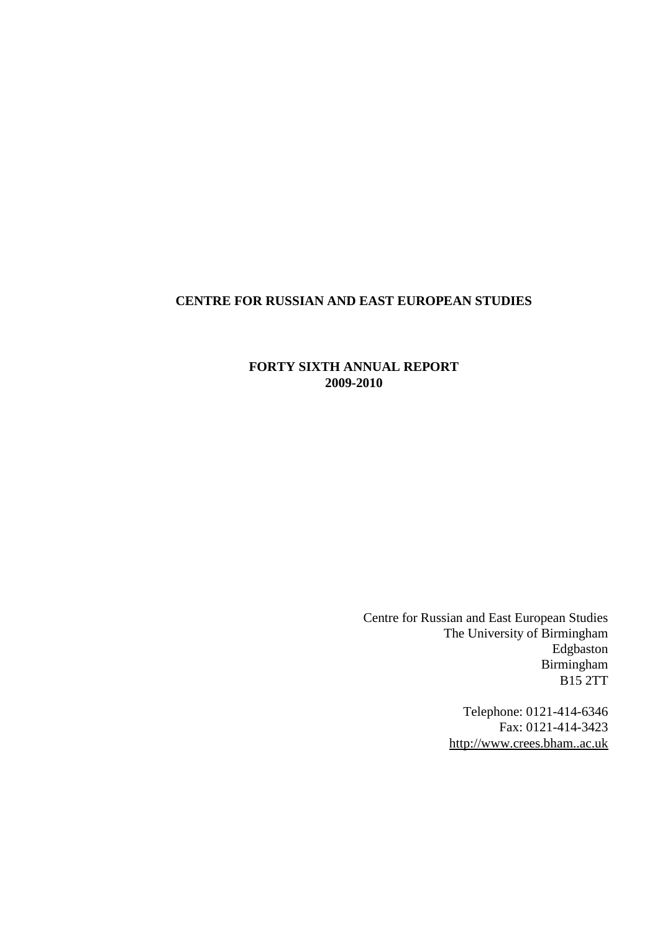# <span id="page-0-0"></span>**CENTRE FOR RUSSIAN AND EAST EUROPEAN STUDIES**

## **FORTY SIXTH ANNUAL REPORT 2009-2010**

Centre for Russian and East European Studies The University of Birmingham Edgbaston Birmingham B15 2TT

> Telephone: 0121-414-6346 Fax: 0121-414-3423 [http://www.crees.bham..ac.uk](http://www.crees.bham..ac.uk/)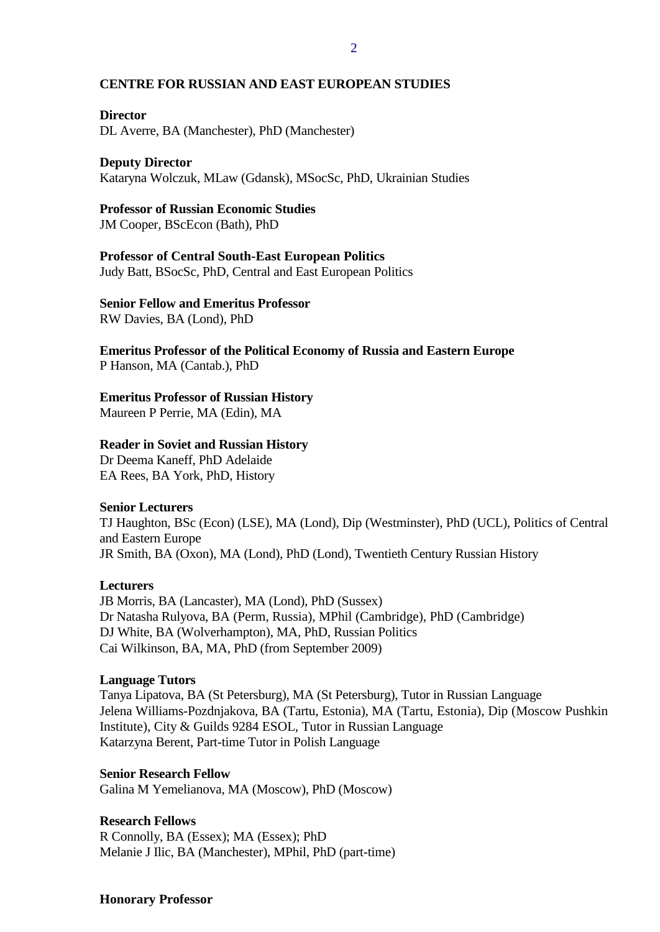#### **CENTRE FOR RUSSIAN AND EAST EUROPEAN STUDIES**

#### **Director**

DL Averre, BA (Manchester), PhD (Manchester)

## **Deputy Director**

Kataryna Wolczuk, MLaw (Gdansk), MSocSc, PhD, Ukrainian Studies

#### **Professor of Russian Economic Studies**

JM Cooper, BScEcon (Bath), PhD

## **Professor of Central South-East European Politics**

Judy Batt, BSocSc, PhD, Central and East European Politics

## **Senior Fellow and Emeritus Professor**

RW Davies, BA (Lond), PhD

**Emeritus Professor of the Political Economy of Russia and Eastern Europe** P Hanson, MA (Cantab.), PhD

#### **Emeritus Professor of Russian History**

Maureen P Perrie, MA (Edin), MA

#### **Reader in Soviet and Russian History**

Dr Deema Kaneff, PhD Adelaide EA Rees, BA York, PhD, History

#### **Senior Lecturers**

TJ Haughton, BSc (Econ) (LSE), MA (Lond), Dip (Westminster), PhD (UCL), Politics of Central and Eastern Europe JR Smith, BA (Oxon), MA (Lond), PhD (Lond), Twentieth Century Russian History

#### **Lecturers**

JB Morris, BA (Lancaster), MA (Lond), PhD (Sussex) Dr Natasha Rulyova, BA (Perm, Russia), MPhil (Cambridge), PhD (Cambridge) DJ White, BA (Wolverhampton), MA, PhD, Russian Politics Cai Wilkinson, BA, MA, PhD (from September 2009)

#### **Language Tutors**

Tanya Lipatova, BA (St Petersburg), MA (St Petersburg), Tutor in Russian Language Jelena Williams-Pozdnjakova, BA (Tartu, Estonia), MA (Tartu, Estonia), Dip (Moscow Pushkin Institute), City & Guilds 9284 ESOL, Tutor in Russian Language Katarzyna Berent, Part-time Tutor in Polish Language

#### **Senior Research Fellow**

Galina M Yemelianova, MA (Moscow), PhD (Moscow)

## **Research Fellows**

R Connolly, BA (Essex); MA (Essex); PhD Melanie J Ilic, BA (Manchester), MPhil, PhD (part-time)

#### **Honorary Professor**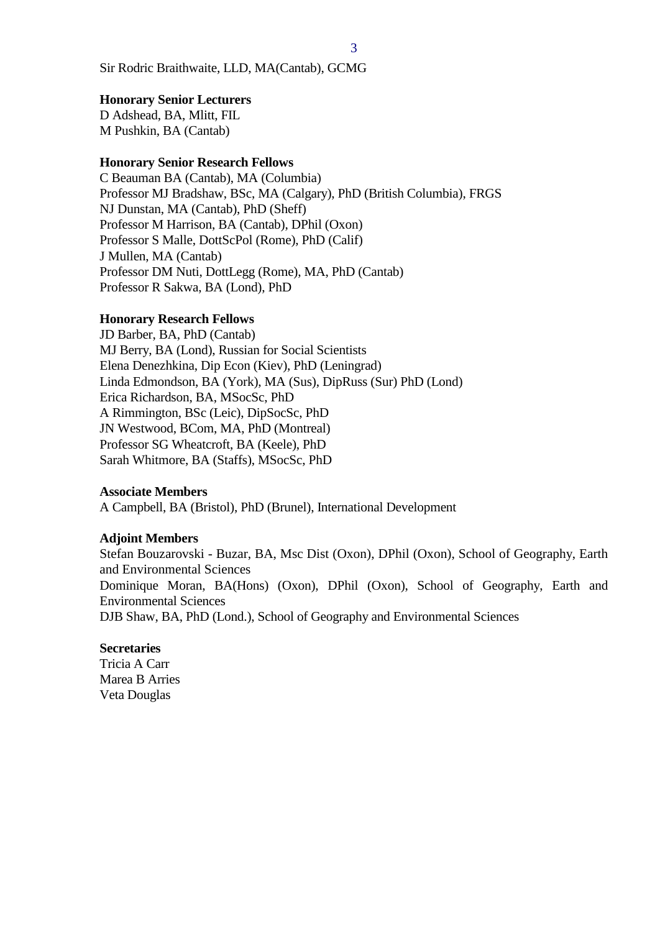Sir Rodric Braithwaite, LLD, MA(Cantab), GCMG

#### **Honorary Senior Lecturers**

D Adshead, BA, Mlitt, FIL M Pushkin, BA (Cantab)

#### **Honorary Senior Research Fellows**

C Beauman BA (Cantab), MA (Columbia) Professor MJ Bradshaw, BSc, MA (Calgary), PhD (British Columbia), FRGS NJ Dunstan, MA (Cantab), PhD (Sheff) Professor M Harrison, BA (Cantab), DPhil (Oxon) Professor S Malle, DottScPol (Rome), PhD (Calif) J Mullen, MA (Cantab) Professor DM Nuti, DottLegg (Rome), MA, PhD (Cantab) Professor R Sakwa, BA (Lond), PhD

#### **Honorary Research Fellows**

JD Barber, BA, PhD (Cantab) MJ Berry, BA (Lond), Russian for Social Scientists Elena Denezhkina, Dip Econ (Kiev), PhD (Leningrad) Linda Edmondson, BA (York), MA (Sus), DipRuss (Sur) PhD (Lond) Erica Richardson, BA, MSocSc, PhD A Rimmington, BSc (Leic), DipSocSc, PhD JN Westwood, BCom, MA, PhD (Montreal) Professor SG Wheatcroft, BA (Keele), PhD Sarah Whitmore, BA (Staffs), MSocSc, PhD

#### **Associate Members**

A Campbell, BA (Bristol), PhD (Brunel), International Development

#### **Adjoint Members**

Stefan Bouzarovski - Buzar, BA, Msc Dist (Oxon), DPhil (Oxon), School of Geography, Earth and Environmental Sciences Dominique Moran, BA(Hons) (Oxon), DPhil (Oxon), School of Geography, Earth and Environmental Sciences DJB Shaw, BA, PhD (Lond.), School of Geography and Environmental Sciences

#### **Secretaries**

Tricia A Carr Marea B Arries Veta Douglas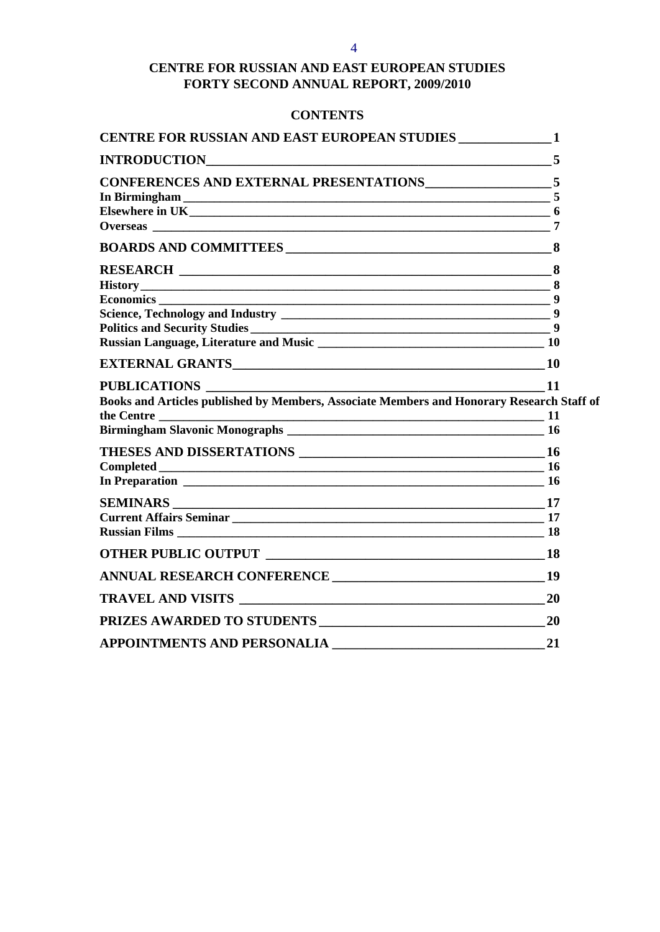# **CENTRE FOR RUSSIAN AND EAST EUROPEAN STUDIES FORTY SECOND ANNUAL REPORT, 2009/2010**

# **CONTENTS**

| <b>CENTRE FOR RUSSIAN AND EAST EUROPEAN STUDIES _____________1</b>                                                                                                                                                                  |           |
|-------------------------------------------------------------------------------------------------------------------------------------------------------------------------------------------------------------------------------------|-----------|
| INTRODUCTION                                                                                                                                                                                                                        | 5         |
|                                                                                                                                                                                                                                     |           |
|                                                                                                                                                                                                                                     |           |
|                                                                                                                                                                                                                                     |           |
|                                                                                                                                                                                                                                     | 7         |
|                                                                                                                                                                                                                                     |           |
|                                                                                                                                                                                                                                     | 8         |
|                                                                                                                                                                                                                                     | 8         |
|                                                                                                                                                                                                                                     | 9         |
|                                                                                                                                                                                                                                     |           |
|                                                                                                                                                                                                                                     |           |
|                                                                                                                                                                                                                                     |           |
|                                                                                                                                                                                                                                     |           |
| <b>PUBLICATIONS</b>                                                                                                                                                                                                                 | $-11$     |
| Books and Articles published by Members, Associate Members and Honorary Research Staff of                                                                                                                                           |           |
|                                                                                                                                                                                                                                     |           |
|                                                                                                                                                                                                                                     |           |
|                                                                                                                                                                                                                                     |           |
|                                                                                                                                                                                                                                     |           |
|                                                                                                                                                                                                                                     |           |
|                                                                                                                                                                                                                                     |           |
|                                                                                                                                                                                                                                     |           |
| <b>Russian Films</b> Property of the Contract of the Contract of the Contract of the Contract of the Contract of the Contract of the Contract of the Contract of the Contract of the Contract of the Contract of the Contract of th | <b>18</b> |
|                                                                                                                                                                                                                                     |           |
|                                                                                                                                                                                                                                     | 19        |
|                                                                                                                                                                                                                                     |           |
| PRIZES AWARDED TO STUDENTS 20                                                                                                                                                                                                       |           |
| <b>APPOINTMENTS AND PERSONALIA</b>                                                                                                                                                                                                  | 21        |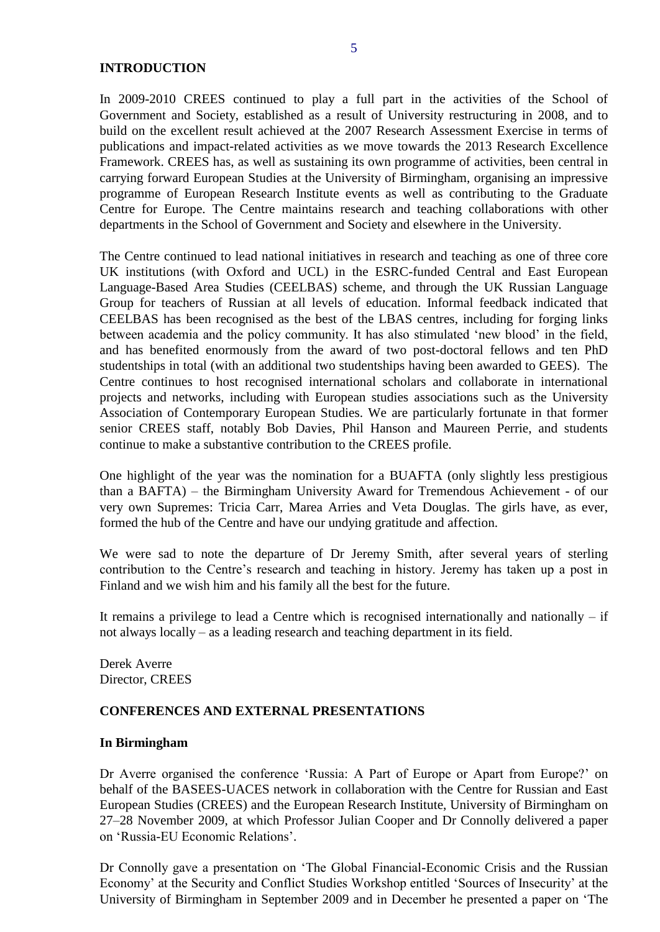#### <span id="page-4-0"></span>**INTRODUCTION**

In 2009-2010 CREES continued to play a full part in the activities of the School of Government and Society, established as a result of University restructuring in 2008, and to build on the excellent result achieved at the 2007 Research Assessment Exercise in terms of publications and impact-related activities as we move towards the 2013 Research Excellence Framework. CREES has, as well as sustaining its own programme of activities, been central in carrying forward European Studies at the University of Birmingham, organising an impressive programme of European Research Institute events as well as contributing to the Graduate Centre for Europe. The Centre maintains research and teaching collaborations with other departments in the School of Government and Society and elsewhere in the University.

The Centre continued to lead national initiatives in research and teaching as one of three core UK institutions (with Oxford and UCL) in the ESRC-funded Central and East European Language-Based Area Studies (CEELBAS) scheme, and through the UK Russian Language Group for teachers of Russian at all levels of education. Informal feedback indicated that CEELBAS has been recognised as the best of the LBAS centres, including for forging links between academia and the policy community. It has also stimulated 'new blood' in the field, and has benefited enormously from the award of two post-doctoral fellows and ten PhD studentships in total (with an additional two studentships having been awarded to GEES). The Centre continues to host recognised international scholars and collaborate in international projects and networks, including with European studies associations such as the University Association of Contemporary European Studies. We are particularly fortunate in that former senior CREES staff, notably Bob Davies, Phil Hanson and Maureen Perrie, and students continue to make a substantive contribution to the CREES profile.

One highlight of the year was the nomination for a BUAFTA (only slightly less prestigious than a BAFTA) – the Birmingham University Award for Tremendous Achievement - of our very own Supremes: Tricia Carr, Marea Arries and Veta Douglas. The girls have, as ever, formed the hub of the Centre and have our undying gratitude and affection.

We were sad to note the departure of Dr Jeremy Smith, after several years of sterling contribution to the Centre's research and teaching in history. Jeremy has taken up a post in Finland and we wish him and his family all the best for the future.

It remains a privilege to lead a Centre which is recognised internationally and nationally  $-$  if not always locally – as a leading research and teaching department in its field.

Derek Averre Director, CREES

## <span id="page-4-1"></span>**CONFERENCES AND EXTERNAL PRESENTATIONS**

#### <span id="page-4-2"></span>**In Birmingham**

Dr Averre organised the conference 'Russia: A Part of Europe or Apart from Europe?' on behalf of the BASEES-UACES network in collaboration with the Centre for Russian and East European Studies (CREES) and the European Research Institute, University of Birmingham on 27–28 November 2009, at which Professor Julian Cooper and Dr Connolly delivered a paper on 'Russia-EU Economic Relations'.

Dr Connolly gave a presentation on 'The Global Financial-Economic Crisis and the Russian Economy' at the Security and Conflict Studies Workshop entitled 'Sources of Insecurity' at the University of Birmingham in September 2009 and in December he presented a paper on 'The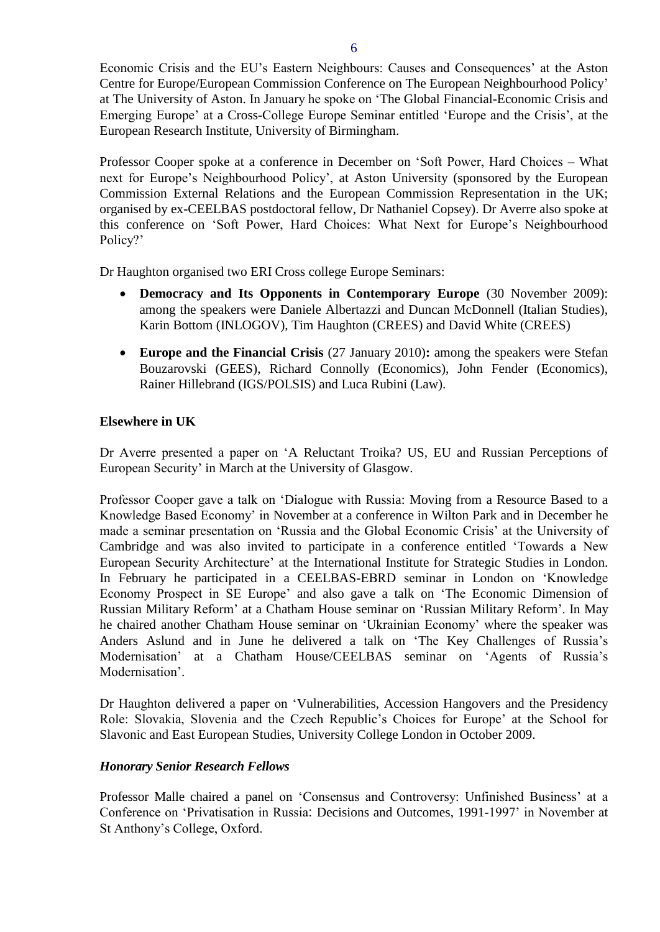Economic Crisis and the EU's Eastern Neighbours: Causes and Consequences' at the Aston Centre for Europe/European Commission Conference on The European Neighbourhood Policy' at The University of Aston. In January he spoke on 'The Global Financial-Economic Crisis and Emerging Europe' at a Cross-College Europe Seminar entitled 'Europe and the Crisis', at the European Research Institute, University of Birmingham.

Professor Cooper spoke at a conference in December on 'Soft Power, Hard Choices – What next for Europe's Neighbourhood Policy', at Aston University (sponsored by the European Commission External Relations and the European Commission Representation in the UK; organised by ex-CEELBAS postdoctoral fellow, Dr Nathaniel Copsey). Dr Averre also spoke at this conference on 'Soft Power, Hard Choices: What Next for Europe's Neighbourhood Policy?'

Dr Haughton organised two ERI Cross college Europe Seminars:

- **Democracy and Its Opponents in Contemporary Europe** (30 November 2009): among the speakers were Daniele Albertazzi and Duncan McDonnell (Italian Studies), Karin Bottom (INLOGOV), Tim Haughton (CREES) and David White (CREES)
- **Europe and the Financial Crisis** (27 January 2010)**:** among the speakers were Stefan Bouzarovski (GEES), Richard Connolly (Economics), John Fender (Economics), Rainer Hillebrand (IGS/POLSIS) and Luca Rubini (Law).

## <span id="page-5-0"></span>**Elsewhere in UK**

Dr Averre presented a paper on 'A Reluctant Troika? US, EU and Russian Perceptions of European Security' in March at the University of Glasgow.

Professor Cooper gave a talk on 'Dialogue with Russia: Moving from a Resource Based to a Knowledge Based Economy' in November at a conference in Wilton Park and in December he made a seminar presentation on 'Russia and the Global Economic Crisis' at the University of Cambridge and was also invited to participate in a conference entitled 'Towards a New European Security Architecture' at the International Institute for Strategic Studies in London. In February he participated in a CEELBAS-EBRD seminar in London on 'Knowledge Economy Prospect in SE Europe' and also gave a talk on 'The Economic Dimension of Russian Military Reform' at a Chatham House seminar on 'Russian Military Reform'. In May he chaired another Chatham House seminar on 'Ukrainian Economy' where the speaker was Anders Aslund and in June he delivered a talk on 'The Key Challenges of Russia's Modernisation' at a Chatham House/CEELBAS seminar on 'Agents of Russia's Modernisation'.

Dr Haughton delivered a paper on 'Vulnerabilities, Accession Hangovers and the Presidency Role: Slovakia, Slovenia and the Czech Republic's Choices for Europe' at the School for Slavonic and East European Studies, University College London in October 2009.

## *Honorary Senior Research Fellows*

Professor Malle chaired a panel on 'Consensus and Controversy: Unfinished Business' at a Conference on 'Privatisation in Russia: Decisions and Outcomes, 1991-1997' in November at St Anthony's College, Oxford.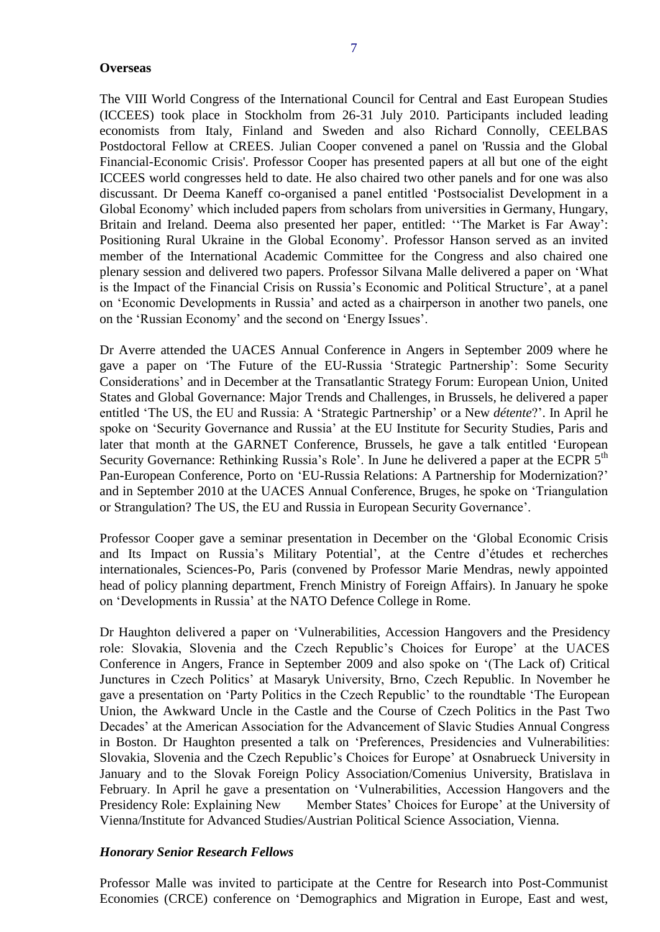#### <span id="page-6-0"></span>**Overseas**

The VIII World Congress of the International Council for Central and East European Studies (ICCEES) took place in Stockholm from 26-31 July 2010. Participants included leading economists from Italy, Finland and Sweden and also Richard Connolly, CEELBAS Postdoctoral Fellow at CREES. Julian Cooper convened a panel on 'Russia and the Global Financial-Economic Crisis'. Professor Cooper has presented papers at all but one of the eight ICCEES world congresses held to date. He also chaired two other panels and for one was also discussant. Dr Deema Kaneff co-organised a panel entitled 'Postsocialist Development in a Global Economy' which included papers from scholars from universities in Germany, Hungary, Britain and Ireland. Deema also presented her paper, entitled: ''The Market is Far Away': Positioning Rural Ukraine in the Global Economy'. Professor Hanson served as an invited member of the International Academic Committee for the Congress and also chaired one plenary session and delivered two papers. Professor Silvana Malle delivered a paper on 'What is the Impact of the Financial Crisis on Russia's Economic and Political Structure', at a panel on 'Economic Developments in Russia' and acted as a chairperson in another two panels, one on the 'Russian Economy' and the second on 'Energy Issues'.

Dr Averre attended the UACES Annual Conference in Angers in September 2009 where he gave a paper on 'The Future of the EU-Russia 'Strategic Partnership': Some Security Considerations' and in December at the Transatlantic Strategy Forum: European Union, United States and Global Governance: Major Trends and Challenges, in Brussels, he delivered a paper entitled 'The US, the EU and Russia: A 'Strategic Partnership' or a New *détente*?'. In April he spoke on 'Security Governance and Russia' at the EU Institute for Security Studies, Paris and later that month at the GARNET Conference, Brussels, he gave a talk entitled 'European Security Governance: Rethinking Russia's Role'. In June he delivered a paper at the ECPR 5<sup>th</sup> Pan-European Conference, Porto on 'EU-Russia Relations: A Partnership for Modernization?' and in September 2010 at the UACES Annual Conference, Bruges, he spoke on 'Triangulation or Strangulation? The US, the EU and Russia in European Security Governance'.

Professor Cooper gave a seminar presentation in December on the 'Global Economic Crisis and Its Impact on Russia's Military Potential', at the Centre d'études et recherches internationales, Sciences-Po, Paris (convened by Professor Marie Mendras, newly appointed head of policy planning department, French Ministry of Foreign Affairs). In January he spoke on 'Developments in Russia' at the NATO Defence College in Rome.

Dr Haughton delivered a paper on 'Vulnerabilities, Accession Hangovers and the Presidency role: Slovakia, Slovenia and the Czech Republic's Choices for Europe' at the UACES Conference in Angers, France in September 2009 and also spoke on '(The Lack of) Critical Junctures in Czech Politics' at Masaryk University, Brno, Czech Republic. In November he gave a presentation on 'Party Politics in the Czech Republic' to the roundtable 'The European Union, the Awkward Uncle in the Castle and the Course of Czech Politics in the Past Two Decades' at the American Association for the Advancement of Slavic Studies Annual Congress in Boston. Dr Haughton presented a talk on 'Preferences, Presidencies and Vulnerabilities: Slovakia, Slovenia and the Czech Republic's Choices for Europe' at Osnabrueck University in January and to the Slovak Foreign Policy Association/Comenius University, Bratislava in February. In April he gave a presentation on 'Vulnerabilities, Accession Hangovers and the Presidency Role: Explaining New Member States' Choices for Europe' at the University of Vienna/Institute for Advanced Studies/Austrian Political Science Association, Vienna.

#### *Honorary Senior Research Fellows*

Professor Malle was invited to participate at the [Centre for Research into Post-Communist](http://www.crce.org.uk/)  [Economies](http://www.crce.org.uk/) (CRCE) conference on 'Demographics and Migration in Europe, East and west,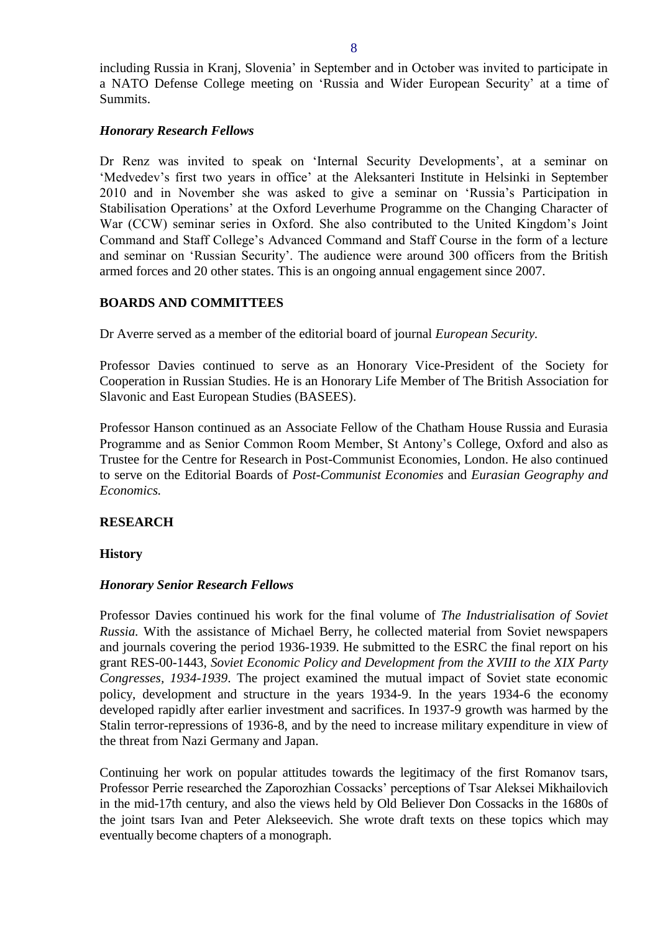including Russia in Kranj, Slovenia' in September and in October was invited to participate in a NATO Defense College meeting on 'Russia and Wider European Security' at a time of Summits.

#### *Honorary Research Fellows*

Dr Renz was invited to speak on 'Internal Security Developments', at a seminar on 'Medvedev's first two years in office' at the Aleksanteri Institute in Helsinki in September 2010 and in November she was asked to give a seminar on 'Russia's Participation in Stabilisation Operations' at the Oxford Leverhume Programme on the Changing Character of War (CCW) seminar series in Oxford. She also contributed to the United Kingdom's Joint Command and Staff College's Advanced Command and Staff Course in the form of a lecture and seminar on 'Russian Security'. The audience were around 300 officers from the British armed forces and 20 other states. This is an ongoing annual engagement since 2007.

## <span id="page-7-0"></span>**BOARDS AND COMMITTEES**

Dr Averre served as a member of the editorial board of journal *European Security.*

Professor Davies continued to serve as an Honorary Vice-President of the Society for Cooperation in Russian Studies. He is an Honorary Life Member of The British Association for Slavonic and East European Studies (BASEES).

Professor Hanson continued as an Associate Fellow of the Chatham House Russia and Eurasia Programme and as Senior Common Room Member, St Antony's College, Oxford and also as Trustee for the Centre for Research in Post-Communist Economies, London. He also continued to serve on the Editorial Boards of *Post-Communist Economies* and *Eurasian Geography and Economics.*

## <span id="page-7-1"></span>**RESEARCH**

#### <span id="page-7-2"></span>**History**

## *Honorary Senior Research Fellows*

Professor Davies continued his work for the final volume of *The Industrialisation of Soviet Russia.* With the assistance of Michael Berry, he collected material from Soviet newspapers and journals covering the period 1936-1939. He submitted to the ESRC the final report on his grant RES-00-1443, *Soviet Economic Policy and Development from the XVIII to the XIX Party Congresses, 1934-1939*. The project examined the mutual impact of Soviet state economic policy, development and structure in the years 1934-9. In the years 1934-6 the economy developed rapidly after earlier investment and sacrifices. In 1937-9 growth was harmed by the Stalin terror-repressions of 1936-8, and by the need to increase military expenditure in view of the threat from Nazi Germany and Japan.

Continuing her work on popular attitudes towards the legitimacy of the first Romanov tsars, Professor Perrie researched the Zaporozhian Cossacks' perceptions of Tsar Aleksei Mikhailovich in the mid-17th century, and also the views held by Old Believer Don Cossacks in the 1680s of the joint tsars Ivan and Peter Alekseevich. She wrote draft texts on these topics which may eventually become chapters of a monograph.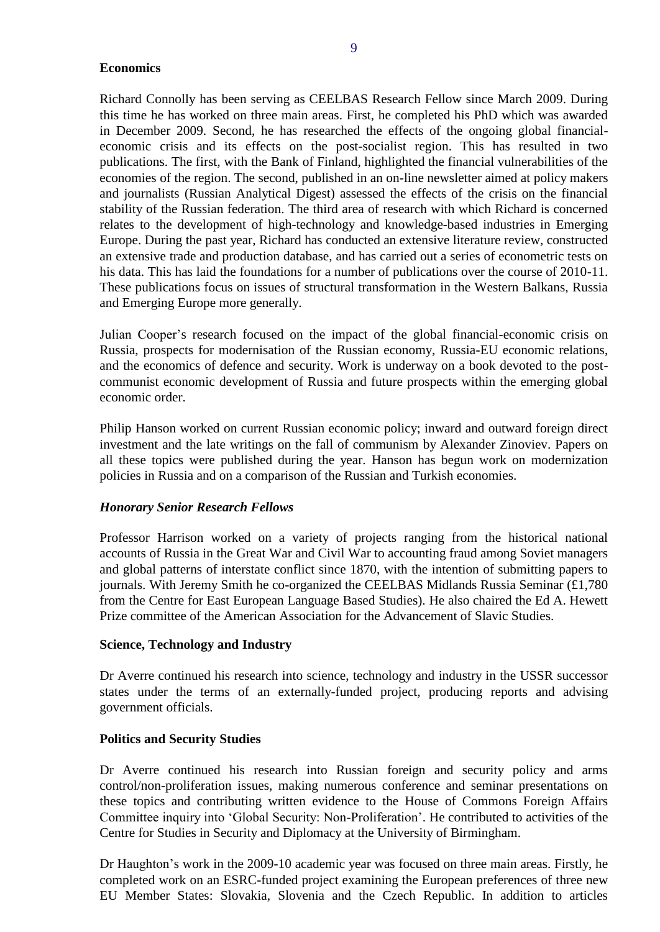## <span id="page-8-0"></span>**Economics**

Richard Connolly has been serving as CEELBAS Research Fellow since March 2009. During this time he has worked on three main areas. First, he completed his PhD which was awarded in December 2009. Second, he has researched the effects of the ongoing global financialeconomic crisis and its effects on the post-socialist region. This has resulted in two publications. The first, with the Bank of Finland, highlighted the financial vulnerabilities of the economies of the region. The second, published in an on-line newsletter aimed at policy makers and journalists (Russian Analytical Digest) assessed the effects of the crisis on the financial stability of the Russian federation. The third area of research with which Richard is concerned relates to the development of high-technology and knowledge-based industries in Emerging Europe. During the past year, Richard has conducted an extensive literature review, constructed an extensive trade and production database, and has carried out a series of econometric tests on his data. This has laid the foundations for a number of publications over the course of 2010-11. These publications focus on issues of structural transformation in the Western Balkans, Russia and Emerging Europe more generally.

Julian Cooper's research focused on the impact of the global financial-economic crisis on Russia, prospects for modernisation of the Russian economy, Russia-EU economic relations, and the economics of defence and security. Work is underway on a book devoted to the postcommunist economic development of Russia and future prospects within the emerging global economic order.

Philip Hanson worked on current Russian economic policy; inward and outward foreign direct investment and the late writings on the fall of communism by Alexander Zinoviev. Papers on all these topics were published during the year. Hanson has begun work on modernization policies in Russia and on a comparison of the Russian and Turkish economies.

## *Honorary Senior Research Fellows*

Professor Harrison worked on a variety of projects ranging from the historical national accounts of Russia in the Great War and Civil War to accounting fraud among Soviet managers and global patterns of interstate conflict since 1870, with the intention of submitting papers to journals. With Jeremy Smith he co-organized the CEELBAS Midlands Russia Seminar (£1,780 from the Centre for East European Language Based Studies). He also chaired the Ed A. Hewett Prize committee of the American Association for the Advancement of Slavic Studies.

## <span id="page-8-1"></span>**Science, Technology and Industry**

Dr Averre continued his research into science, technology and industry in the USSR successor states under the terms of an externally-funded project, producing reports and advising government officials.

## <span id="page-8-2"></span>**Politics and Security Studies**

Dr Averre continued his research into Russian foreign and security policy and arms control/non-proliferation issues, making numerous conference and seminar presentations on these topics and contributing written evidence to the House of Commons Foreign Affairs Committee inquiry into 'Global Security: Non-Proliferation'. He contributed to activities of the Centre for Studies in Security and Diplomacy at the University of Birmingham.

Dr Haughton's work in the 2009-10 academic year was focused on three main areas. Firstly, he completed work on an ESRC-funded project examining the European preferences of three new EU Member States: Slovakia, Slovenia and the Czech Republic. In addition to articles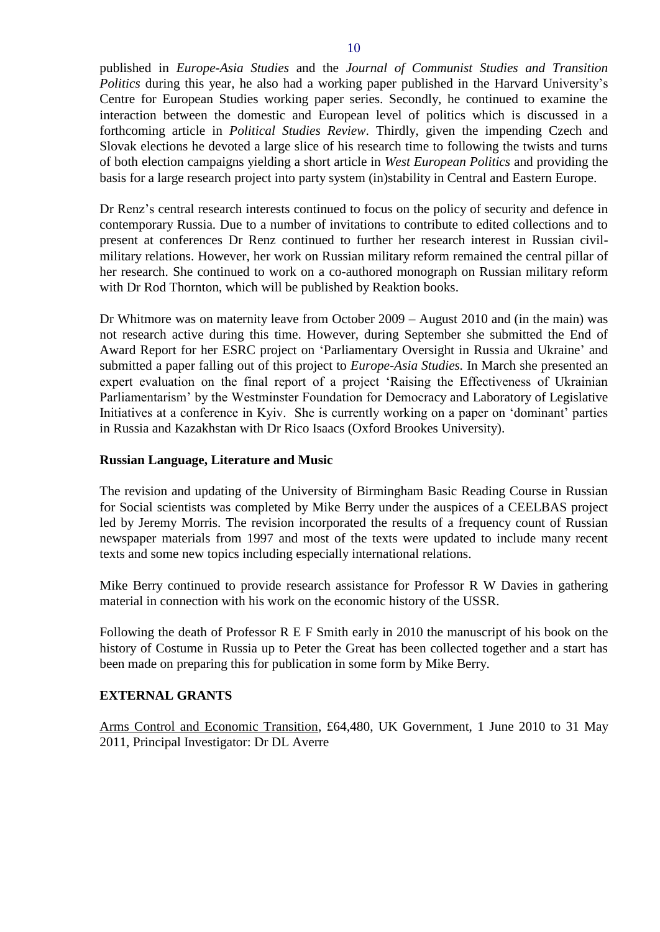published in *Europe-Asia Studies* and the *Journal of Communist Studies and Transition Politics* during this year, he also had a working paper published in the Harvard University's Centre for European Studies working paper series. Secondly, he continued to examine the interaction between the domestic and European level of politics which is discussed in a forthcoming article in *Political Studies Review*. Thirdly, given the impending Czech and Slovak elections he devoted a large slice of his research time to following the twists and turns of both election campaigns yielding a short article in *West European Politics* and providing the basis for a large research project into party system (in)stability in Central and Eastern Europe.

Dr Renz's central research interests continued to focus on the policy of security and defence in contemporary Russia. Due to a number of invitations to contribute to edited collections and to present at conferences Dr Renz continued to further her research interest in Russian civilmilitary relations. However, her work on Russian military reform remained the central pillar of her research. She continued to work on a co-authored monograph on Russian military reform with Dr Rod Thornton, which will be published by Reaktion books.

Dr Whitmore was on maternity leave from October 2009 – August 2010 and (in the main) was not research active during this time. However, during September she submitted the End of Award Report for her ESRC project on 'Parliamentary Oversight in Russia and Ukraine' and submitted a paper falling out of this project to *Europe-Asia Studies.* In March she presented an expert evaluation on the final report of a project 'Raising the Effectiveness of Ukrainian Parliamentarism' by the Westminster Foundation for Democracy and Laboratory of Legislative Initiatives at a conference in Kyiv. She is currently working on a paper on 'dominant' parties in Russia and Kazakhstan with Dr Rico Isaacs (Oxford Brookes University).

## <span id="page-9-0"></span>**Russian Language, Literature and Music**

The revision and updating of the University of Birmingham Basic Reading Course in Russian for Social scientists was completed by Mike Berry under the auspices of a CEELBAS project led by Jeremy Morris. The revision incorporated the results of a frequency count of Russian newspaper materials from 1997 and most of the texts were updated to include many recent texts and some new topics including especially international relations.

Mike Berry continued to provide research assistance for Professor R W Davies in gathering material in connection with his work on the economic history of the USSR.

Following the death of Professor R E F Smith early in 2010 the manuscript of his book on the history of Costume in Russia up to Peter the Great has been collected together and a start has been made on preparing this for publication in some form by Mike Berry.

## <span id="page-9-1"></span>**EXTERNAL GRANTS**

Arms Control and Economic Transition, £64,480, UK Government, 1 June 2010 to 31 May 2011, Principal Investigator: Dr DL Averre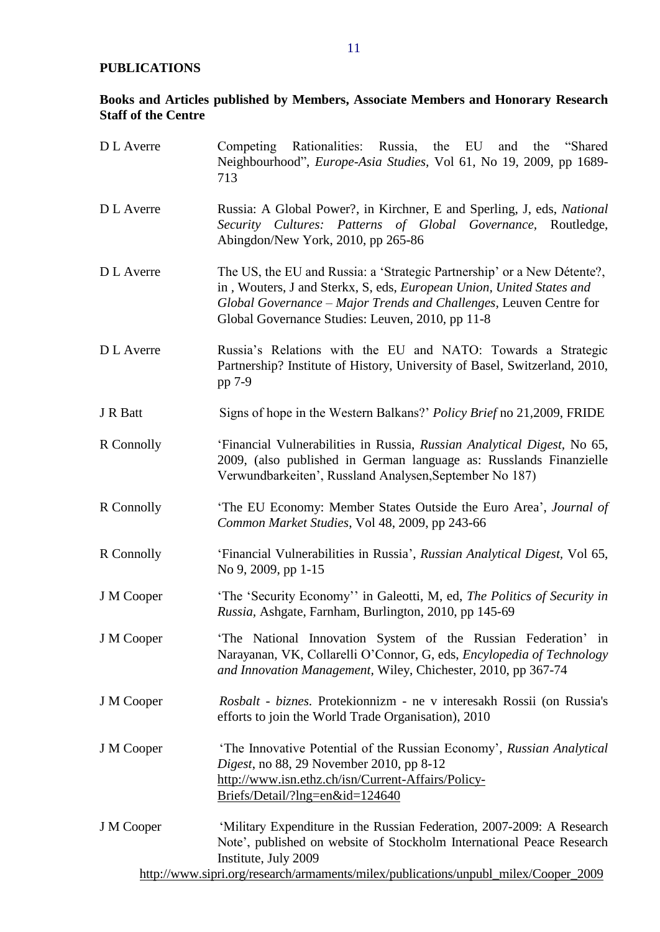# <span id="page-10-0"></span>**PUBLICATIONS**

# <span id="page-10-1"></span>**Books and Articles published by Members, Associate Members and Honorary Research Staff of the Centre**

| D L Averre | Competing Rationalities: Russia, the EU<br>the<br>"Shared"<br>and<br>Neighbourhood", Europe-Asia Studies, Vol 61, No 19, 2009, pp 1689-<br>713                                                                                                                            |  |  |  |
|------------|---------------------------------------------------------------------------------------------------------------------------------------------------------------------------------------------------------------------------------------------------------------------------|--|--|--|
| D L Averre | Russia: A Global Power?, in Kirchner, E and Sperling, J, eds, National<br>Security Cultures: Patterns of Global Governance, Routledge,<br>Abingdon/New York, 2010, pp 265-86                                                                                              |  |  |  |
| D L Averre | The US, the EU and Russia: a 'Strategic Partnership' or a New Détente?,<br>in, Wouters, J and Sterkx, S, eds, European Union, United States and<br>Global Governance - Major Trends and Challenges, Leuven Centre for<br>Global Governance Studies: Leuven, 2010, pp 11-8 |  |  |  |
| D L Averre | Russia's Relations with the EU and NATO: Towards a Strategic<br>Partnership? Institute of History, University of Basel, Switzerland, 2010,<br>pp 7-9                                                                                                                      |  |  |  |
| J R Batt   | Signs of hope in the Western Balkans?' <i>Policy Brief</i> no 21,2009, FRIDE                                                                                                                                                                                              |  |  |  |
| R Connolly | 'Financial Vulnerabilities in Russia, Russian Analytical Digest, No 65,<br>2009, (also published in German language as: Russlands Finanzielle<br>Verwundbarkeiten', Russland Analysen, September No 187)                                                                  |  |  |  |
| R Connolly | 'The EU Economy: Member States Outside the Euro Area', Journal of<br>Common Market Studies, Vol 48, 2009, pp 243-66                                                                                                                                                       |  |  |  |
| R Connolly | 'Financial Vulnerabilities in Russia', Russian Analytical Digest, Vol 65,<br>No 9, 2009, pp 1-15                                                                                                                                                                          |  |  |  |
| J M Cooper | 'The 'Security Economy'' in Galeotti, M, ed, The Politics of Security in<br>Russia, Ashgate, Farnham, Burlington, 2010, pp 145-69                                                                                                                                         |  |  |  |
| J M Cooper | 'The National Innovation System of the Russian Federation' in<br>Narayanan, VK, Collarelli O'Connor, G, eds, Encylopedia of Technology<br>and Innovation Management, Wiley, Chichester, 2010, pp 367-74                                                                   |  |  |  |
| J M Cooper | Rosbalt - biznes. Protekionnizm - ne v interesakh Rossii (on Russia's<br>efforts to join the World Trade Organisation), 2010                                                                                                                                              |  |  |  |
| J M Cooper | 'The Innovative Potential of the Russian Economy', Russian Analytical<br><i>Digest</i> , no 88, 29 November 2010, pp 8-12<br>http://www.isn.ethz.ch/isn/Current-Affairs/Policy-<br>Briefs/Detail/?lng=en&id=124640                                                        |  |  |  |
| J M Cooper | 'Military Expenditure in the Russian Federation, 2007-2009: A Research<br>Note', published on website of Stockholm International Peace Research<br>Institute, July 2009                                                                                                   |  |  |  |
|            | http://www.sipri.org/research/armaments/milex/publications/unpubl_milex/Cooper_2009                                                                                                                                                                                       |  |  |  |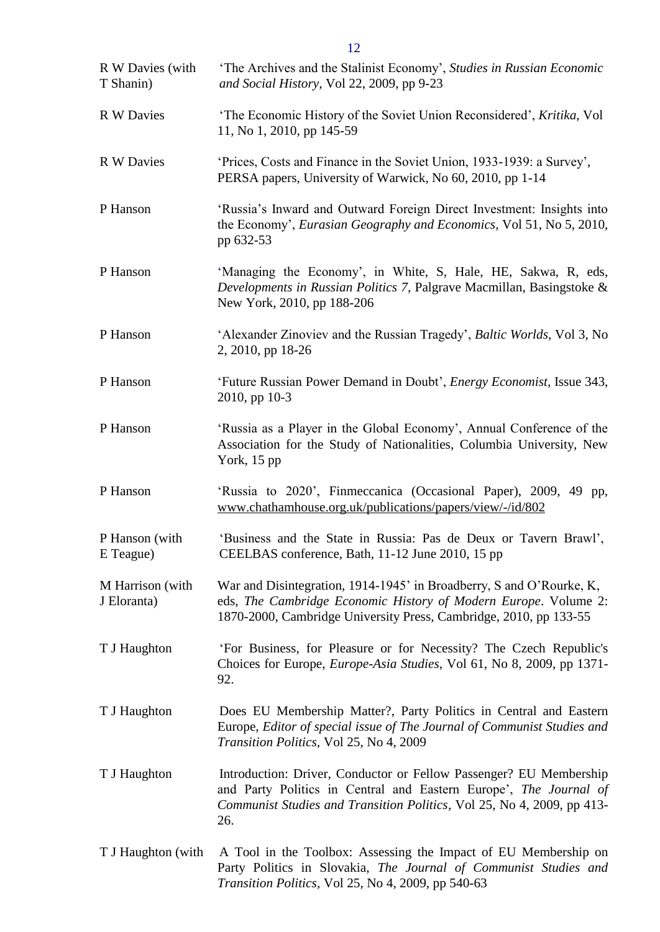| R W Davies (with<br>T Shanin)   | 'The Archives and the Stalinist Economy', Studies in Russian Economic<br>and Social History, Vol 22, 2009, pp 9-23                                                                                                       |
|---------------------------------|--------------------------------------------------------------------------------------------------------------------------------------------------------------------------------------------------------------------------|
| R W Davies                      | 'The Economic History of the Soviet Union Reconsidered', Kritika, Vol<br>11, No 1, 2010, pp 145-59                                                                                                                       |
| R W Davies                      | 'Prices, Costs and Finance in the Soviet Union, 1933-1939: a Survey',<br>PERSA papers, University of Warwick, No 60, 2010, pp 1-14                                                                                       |
| P Hanson                        | 'Russia's Inward and Outward Foreign Direct Investment: Insights into<br>the Economy', <i>Eurasian Geography and Economics</i> , Vol 51, No 5, 2010,<br>pp 632-53                                                        |
| P Hanson                        | 'Managing the Economy', in White, S, Hale, HE, Sakwa, R, eds,<br>Developments in Russian Politics 7, Palgrave Macmillan, Basingstoke &<br>New York, 2010, pp 188-206                                                     |
| P Hanson                        | 'Alexander Zinoviev and the Russian Tragedy', Baltic Worlds, Vol 3, No<br>2, 2010, pp 18-26                                                                                                                              |
| P Hanson                        | 'Future Russian Power Demand in Doubt', <i>Energy Economist</i> , Issue 343,<br>2010, pp 10-3                                                                                                                            |
| P Hanson                        | 'Russia as a Player in the Global Economy', Annual Conference of the<br>Association for the Study of Nationalities, Columbia University, New<br>York, $15$ pp                                                            |
| P Hanson                        | 'Russia to 2020', Finmeccanica (Occasional Paper), 2009, 49 pp,<br>www.chathamhouse.org.uk/publications/papers/view/-/id/802                                                                                             |
| P Hanson (with<br>E Teague)     | 'Business and the State in Russia: Pas de Deux or Tavern Brawl',<br>CEELBAS conference, Bath, 11-12 June 2010, 15 pp                                                                                                     |
| M Harrison (with<br>J Eloranta) | War and Disintegration, 1914-1945' in Broadberry, S and O'Rourke, K,<br>eds, The Cambridge Economic History of Modern Europe. Volume 2:<br>1870-2000, Cambridge University Press, Cambridge, 2010, pp 133-55             |
| T J Haughton                    | 'For Business, for Pleasure or for Necessity? The Czech Republic's<br>Choices for Europe, Europe-Asia Studies, Vol 61, No 8, 2009, pp 1371-<br>92.                                                                       |
| T J Haughton                    | Does EU Membership Matter?, Party Politics in Central and Eastern<br>Europe, Editor of special issue of The Journal of Communist Studies and<br>Transition Politics, Vol 25, No 4, 2009                                  |
| T J Haughton                    | Introduction: Driver, Conductor or Fellow Passenger? EU Membership<br>and Party Politics in Central and Eastern Europe', The Journal of<br>Communist Studies and Transition Politics, Vol 25, No 4, 2009, pp 413-<br>26. |
| T J Haughton (with              | A Tool in the Toolbox: Assessing the Impact of EU Membership on<br>Party Politics in Slovakia, The Journal of Communist Studies and<br>Transition Politics, Vol 25, No 4, 2009, pp 540-63                                |

12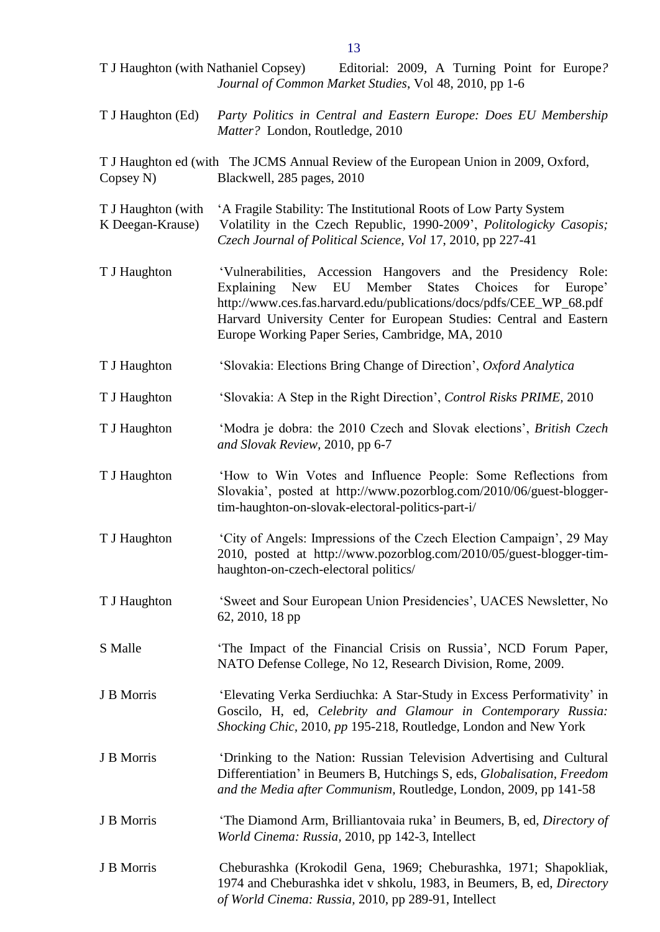T J Haughton (with Nathaniel Copsey) Editorial: 2009, A Turning Point for Europe*? Journal of Common Market Studies*, Vol 48, 2010, pp 1-6 T J Haughton (Ed) *Party Politics in Central and Eastern Europe: Does EU Membership Matter?* London, Routledge, 2010 T J Haughton ed (with The JCMS Annual Review of the European Union in 2009, Oxford, Copsey N) Blackwell, 285 pages, 2010 T J Haughton (with 'A Fragile Stability: The Institutional Roots of Low Party System K Deegan-Krause) Volatility in the Czech Republic, 1990-2009', *Politologicky Casopis; Czech Journal of Political Science, Vol* 17, 2010, pp 227-41 T J Haughton 'Vulnerabilities, Accession Hangovers and the Presidency Role: Explaining New EU Member States Choices for Europe' http://www.ces.fas.harvard.edu/publications/docs/pdfs/CEE\_WP\_68.pdf Harvard University Center for European Studies: Central and Eastern Europe Working Paper Series, Cambridge, MA, 2010 T J Haughton 'Slovakia: Elections Bring Change of Direction', *Oxford Analytica* T J Haughton 'Slovakia: A Step in the Right Direction', *Control Risks PRIME,* 2010 T J Haughton 'Modra je dobra: the 2010 Czech and Slovak elections', *British Czech and Slovak Review,* 2010, pp 6-7 T J Haughton 'How to Win Votes and Influence People: Some Reflections from Slovakia', posted at http://www.pozorblog.com/2010/06/guest-bloggertim-haughton-on-slovak-electoral-politics-part-i/ T J Haughton 'City of Angels: Impressions of the Czech Election Campaign', 29 May 2010, posted at http://www.pozorblog.com/2010/05/guest-blogger-timhaughton-on-czech-electoral politics/ T J Haughton 'Sweet and Sour European Union Presidencies', UACES Newsletter, No 62, 2010, 18 pp S Malle 'The Impact of the Financial Crisis on Russia', NCD Forum Paper, NATO Defense College, No 12, Research Division, Rome, 2009. J B Morris 'Elevating Verka Serdiuchka: A Star-Study in Excess Performativity' in Goscilo, H, ed, *Celebrity and Glamour in Contemporary Russia: Shocking Chic,* 2010, *pp* 195-218, Routledge, London and New York J B Morris 'Drinking to the Nation: Russian Television Advertising and Cultural Differentiation' in Beumers B, Hutchings S, eds, *Globalisation, Freedom and the Media after Communism,* Routledge, London, 2009, pp 141-58 J B Morris 'The Diamond Arm, Brilliantovaia ruka' in Beumers, B, ed, *Directory of World Cinema: Russia,* 2010, pp 142-3, Intellect J B Morris Cheburashka (Krokodil Gena, 1969; Cheburashka, 1971; Shapokliak, 1974 and Cheburashka idet v shkolu, 1983, in Beumers, B, ed, *Directory of World Cinema: Russia,* 2010, pp 289-91, Intellect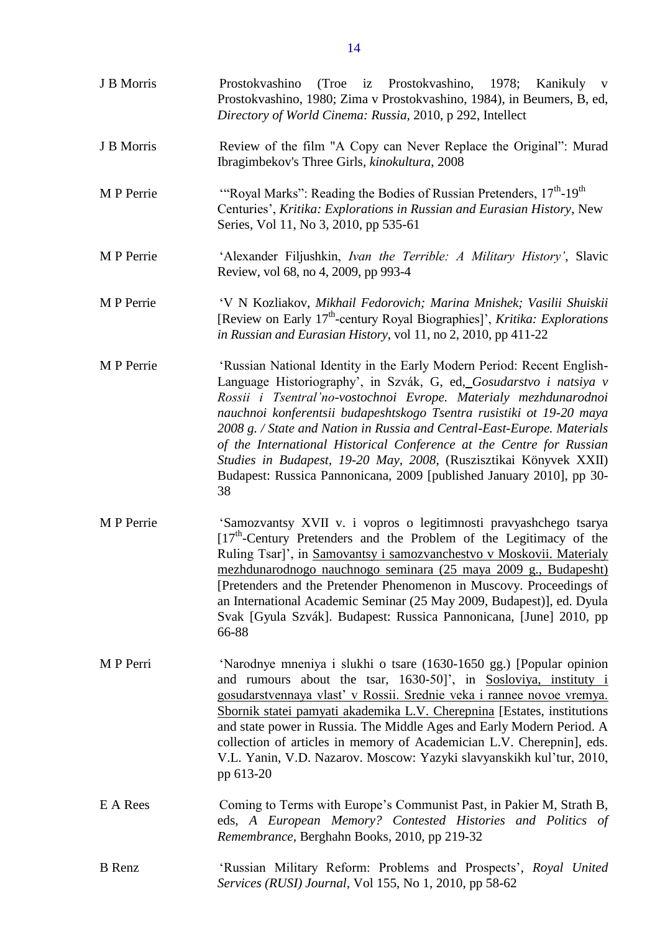| J B Morris    | (Troe iz Prostokvashino, 1978; Kanikuly v<br>Prostokvashino<br>Prostokvashino, 1980; Zima v Prostokvashino, 1984), in Beumers, B, ed,<br>Directory of World Cinema: Russia, 2010, p 292, Intellect                                                                                                                                                                                                                                                                                                                                                                                             |
|---------------|------------------------------------------------------------------------------------------------------------------------------------------------------------------------------------------------------------------------------------------------------------------------------------------------------------------------------------------------------------------------------------------------------------------------------------------------------------------------------------------------------------------------------------------------------------------------------------------------|
| J B Morris    | Review of the film "A Copy can Never Replace the Original": Murad<br>Ibragimbekov's Three Girls, kinokultura, 2008                                                                                                                                                                                                                                                                                                                                                                                                                                                                             |
| M P Perrie    | "Royal Marks": Reading the Bodies of Russian Pretenders, 17 <sup>th</sup> -19 <sup>th</sup><br>Centuries', Kritika: Explorations in Russian and Eurasian History, New<br>Series, Vol 11, No 3, 2010, pp 535-61                                                                                                                                                                                                                                                                                                                                                                                 |
| M P Perrie    | 'Alexander Filjushkin, Ivan the Terrible: A Military History', Slavic<br>Review, vol 68, no 4, 2009, pp 993-4                                                                                                                                                                                                                                                                                                                                                                                                                                                                                  |
| M P Perrie    | 'V N Kozliakov, Mikhail Fedorovich; Marina Mnishek; Vasilii Shuiskii<br>[Review on Early 17 <sup>th</sup> -century Royal Biographies]', <i>Kritika: Explorations</i><br>in Russian and Eurasian History, vol 11, no 2, 2010, pp 411-22                                                                                                                                                                                                                                                                                                                                                         |
| M P Perrie    | 'Russian National Identity in the Early Modern Period: Recent English-<br>Language Historiography', in Szvák, G, ed, Gosudarstvo i natsiya v<br>Rossii i Tsentral'no-vostochnoi Evrope. Materialy mezhdunarodnoi<br>nauchnoi konferentsii budapeshtskogo Tsentra rusistiki ot 19-20 maya<br>2008 g. / State and Nation in Russia and Central-East-Europe. Materials<br>of the International Historical Conference at the Centre for Russian<br>Studies in Budapest, 19-20 May, 2008, (Ruszisztikai Könyvek XXII)<br>Budapest: Russica Pannonicana, 2009 [published January 2010], pp 30-<br>38 |
| M P Perrie    | 'Samozvantsy XVII v. i vopros o legitimnosti pravyashchego tsarya<br>$[17th$ -Century Pretenders and the Problem of the Legitimacy of the<br>Ruling Tsar]', in Samovantsy i samozvanchestvo v Moskovii. Materialy<br>mezhdunarodnogo nauchnogo seminara (25 maya 2009 g., Budapesht)<br>[Pretenders and the Pretender Phenomenon in Muscovy. Proceedings of<br>an International Academic Seminar (25 May 2009, Budapest)], ed. Dyula<br>Svak [Gyula Szvák]. Budapest: Russica Pannonicana, [June] 2010, pp<br>66-88                                                                            |
| M P Perri     | 'Narodnye mneniya i slukhi o tsare (1630-1650 gg.) [Popular opinion<br>and rumours about the tsar, 1630-50]', in Sosloviya, instituty i<br>gosudarstvennaya vlast' v Rossii. Srednie veka i rannee novoe vremya.<br>Sbornik statei pamyati akademika L.V. Cherepnina [Estates, institutions]<br>and state power in Russia. The Middle Ages and Early Modern Period. A<br>collection of articles in memory of Academician L.V. Cherepnin], eds.<br>V.L. Yanin, V.D. Nazarov. Moscow: Yazyki slavyanskikh kul'tur, 2010,<br>pp 613-20                                                            |
| E A Rees      | Coming to Terms with Europe's Communist Past, in Pakier M, Strath B,<br>eds, A European Memory? Contested Histories and Politics of<br>Remembrance, Berghahn Books, 2010, pp 219-32                                                                                                                                                                                                                                                                                                                                                                                                            |
| <b>B</b> Renz | 'Russian Military Reform: Problems and Prospects', Royal United<br>Services (RUSI) Journal, Vol 155, No 1, 2010, pp 58-62                                                                                                                                                                                                                                                                                                                                                                                                                                                                      |

14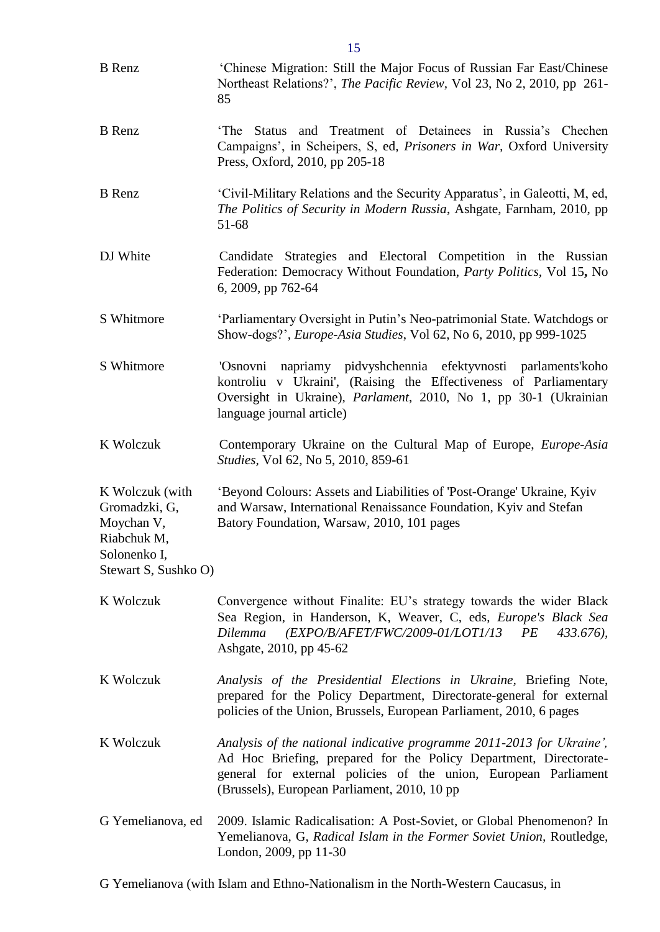| <b>B</b> Renz                                                                                         | 'Chinese Migration: Still the Major Focus of Russian Far East/Chinese<br>Northeast Relations?', The Pacific Review, Vol 23, No 2, 2010, pp 261-<br>85                                                                                                         |
|-------------------------------------------------------------------------------------------------------|---------------------------------------------------------------------------------------------------------------------------------------------------------------------------------------------------------------------------------------------------------------|
| <b>B</b> Renz                                                                                         | Status and Treatment of Detainees in Russia's Chechen<br>'The<br>Campaigns', in Scheipers, S, ed, Prisoners in War, Oxford University<br>Press, Oxford, 2010, pp 205-18                                                                                       |
| <b>B</b> Renz                                                                                         | 'Civil-Military Relations and the Security Apparatus', in Galeotti, M, ed,<br>The Politics of Security in Modern Russia, Ashgate, Farnham, 2010, pp<br>51-68                                                                                                  |
| DJ White                                                                                              | Candidate Strategies and Electoral Competition in the Russian<br>Federation: Democracy Without Foundation, Party Politics, Vol 15, No<br>6, 2009, pp 762-64                                                                                                   |
| S Whitmore                                                                                            | 'Parliamentary Oversight in Putin's Neo-patrimonial State. Watchdogs or<br>Show-dogs?', Europe-Asia Studies, Vol 62, No 6, 2010, pp 999-1025                                                                                                                  |
| S Whitmore                                                                                            | napriamy pidvyshchennia efektyvnosti parlaments'koho<br>'Osnovni<br>kontroliu v Ukraini', (Raising the Effectiveness of Parliamentary<br>Oversight in Ukraine), <i>Parlament</i> , 2010, No 1, pp 30-1 (Ukrainian<br>language journal article)                |
| K Wolczuk                                                                                             | Contemporary Ukraine on the Cultural Map of Europe, <i>Europe-Asia</i><br><i>Studies</i> , Vol 62, No 5, 2010, 859-61                                                                                                                                         |
| K Wolczuk (with<br>Gromadzki, G,<br>Moychan V,<br>Riabchuk M,<br>Solonenko I,<br>Stewart S, Sushko O) | 'Beyond Colours: Assets and Liabilities of 'Post-Orange' Ukraine, Kyiv<br>and Warsaw, International Renaissance Foundation, Kyiv and Stefan<br>Batory Foundation, Warsaw, 2010, 101 pages                                                                     |
| K Wolczuk                                                                                             | Convergence without Finalite: EU's strategy towards the wider Black<br>Sea Region, in Handerson, K, Weaver, C, eds, Europe's Black Sea<br>(EXPO/B/AFET/FWC/2009-01/LOT1/13<br>PE<br>Dilemma<br>$433.676$ ,<br>Ashgate, 2010, pp 45-62                         |
| K Wolczuk                                                                                             | Analysis of the Presidential Elections in Ukraine, Briefing Note,<br>prepared for the Policy Department, Directorate-general for external<br>policies of the Union, Brussels, European Parliament, 2010, 6 pages                                              |
| K Wolczuk                                                                                             | Analysis of the national indicative programme 2011-2013 for Ukraine',<br>Ad Hoc Briefing, prepared for the Policy Department, Directorate-<br>general for external policies of the union, European Parliament<br>(Brussels), European Parliament, 2010, 10 pp |
| G Yemelianova, ed                                                                                     | 2009. Islamic Radicalisation: A Post-Soviet, or Global Phenomenon? In<br>Yemelianova, G, Radical Islam in the Former Soviet Union, Routledge,<br>London, 2009, pp 11-30                                                                                       |

G Yemelianova (with Islam and Ethno-Nationalism in the North-Western Caucasus, in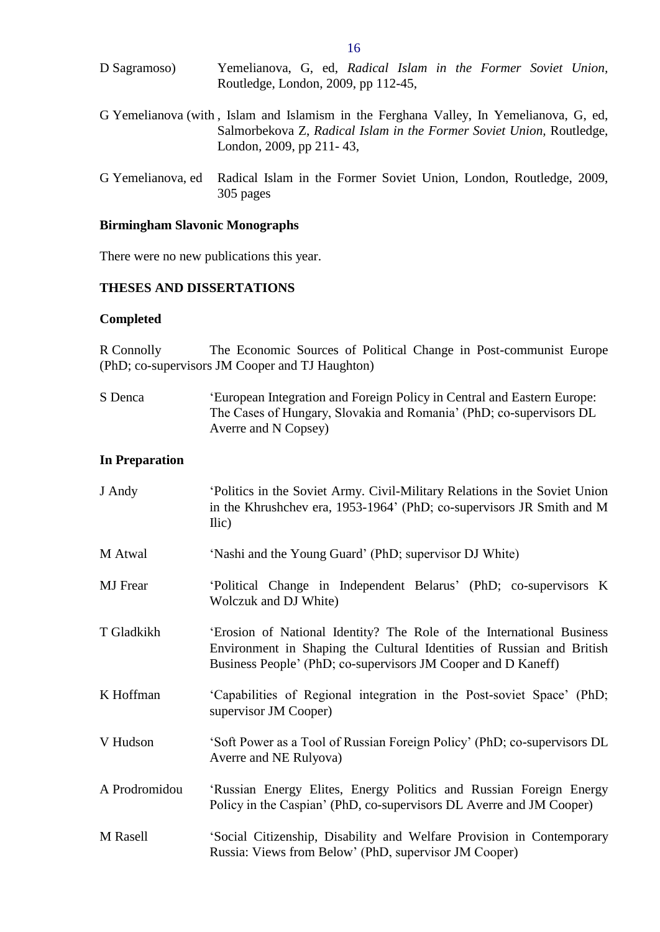| D Sagramoso)                                                                           | Yemelianova, G, ed, Radical Islam in the Former Soviet Union,                                         |  |  |  |  |
|----------------------------------------------------------------------------------------|-------------------------------------------------------------------------------------------------------|--|--|--|--|
|                                                                                        | Routledge, London, 2009, pp 112-45,                                                                   |  |  |  |  |
| G Yemelianova (with, Islam and Islamism in the Ferghana Valley, In Yemelianova, G, ed, | Salmorbekova Z, Radical Islam in the Former Soviet Union, Routledge,<br>London, 2009, pp $211 - 43$ , |  |  |  |  |

G Yemelianova, ed Radical Islam in the Former Soviet Union, London, Routledge, 2009, 305 pages

#### <span id="page-15-0"></span>**Birmingham Slavonic Monographs**

There were no new publications this year.

## <span id="page-15-1"></span>**THESES AND DISSERTATIONS**

#### <span id="page-15-2"></span>**Completed**

R Connolly The Economic Sources of Political Change in Post-communist Europe (PhD; co-supervisors JM Cooper and TJ Haughton)

S Denca 'European Integration and Foreign Policy in Central and Eastern Europe: The Cases of Hungary, Slovakia and Romania' (PhD; co-supervisors DL Averre and N Copsey)

#### <span id="page-15-3"></span>**In Preparation**

| J Andy          | Politics in the Soviet Army. Civil-Military Relations in the Soviet Union<br>in the Khrushchev era, 1953-1964' (PhD; co-supervisors JR Smith and M<br>$\text{Ilic}$                                             |
|-----------------|-----------------------------------------------------------------------------------------------------------------------------------------------------------------------------------------------------------------|
| M Atwal         | 'Nashi and the Young Guard' (PhD; supervisor DJ White)                                                                                                                                                          |
| <b>MJ</b> Frear | 'Political Change in Independent Belarus' (PhD; co-supervisors K)<br>Wolczuk and DJ White)                                                                                                                      |
| T Gladkikh      | 'Erosion of National Identity? The Role of the International Business<br>Environment in Shaping the Cultural Identities of Russian and British<br>Business People' (PhD; co-supervisors JM Cooper and D Kaneff) |
| K Hoffman       | 'Capabilities of Regional integration in the Post-soviet Space' (PhD;<br>supervisor JM Cooper)                                                                                                                  |
| V Hudson        | 'Soft Power as a Tool of Russian Foreign Policy' (PhD; co-supervisors DL<br>Averre and NE Rulyova)                                                                                                              |
| A Prodromidou   | 'Russian Energy Elites, Energy Politics and Russian Foreign Energy<br>Policy in the Caspian' (PhD, co-supervisors DL Averre and JM Cooper)                                                                      |
| M Rasell        | 'Social Citizenship, Disability and Welfare Provision in Contemporary<br>Russia: Views from Below' (PhD, supervisor JM Cooper)                                                                                  |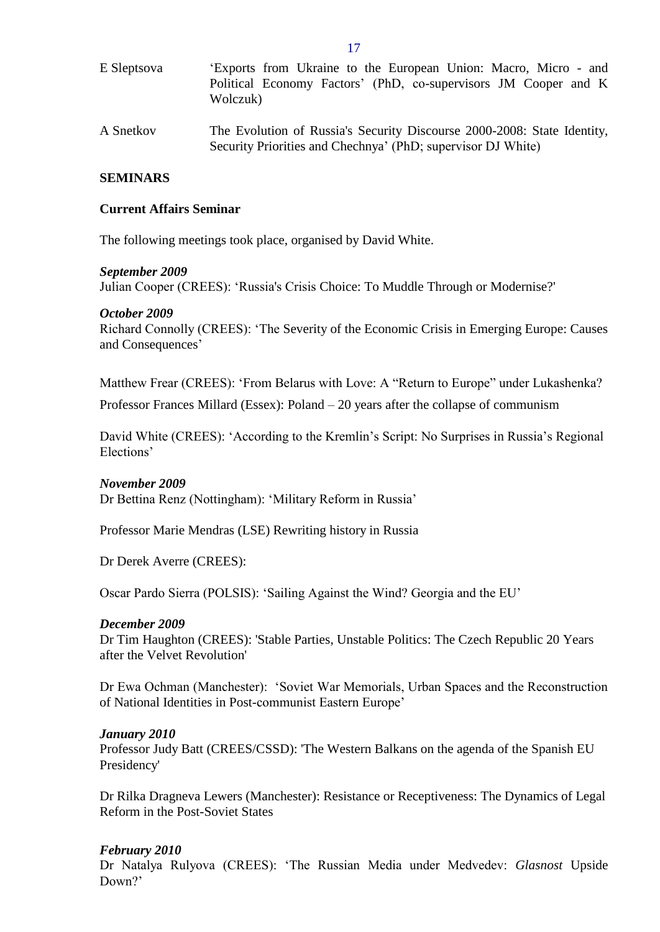| E Sleptsova | 'Exports from Ukraine to the European Union: Macro, Micro - and<br>Political Economy Factors' (PhD, co-supervisors JM Cooper and K<br>Wolczuk) |
|-------------|------------------------------------------------------------------------------------------------------------------------------------------------|
| A Snetkov   | The Evolution of Russia's Security Discourse 2000-2008: State Identity,<br>Security Priorities and Chechnya' (PhD; supervisor DJ White)        |

#### <span id="page-16-0"></span>**SEMINARS**

#### <span id="page-16-1"></span>**Current Affairs Seminar**

The following meetings took place, organised by David White.

#### *September 2009*

Julian Cooper (CREES): 'Russia's Crisis Choice: To Muddle Through or Modernise?'

#### *October 2009*

Richard Connolly (CREES): 'The Severity of the Economic Crisis in Emerging Europe: Causes and Consequences'

Matthew Frear (CREES): 'From Belarus with Love: A "Return to Europe" under Lukashenka?

Professor Frances Millard (Essex): Poland – 20 years after the collapse of communism

David White (CREES): 'According to the Kremlin's Script: No Surprises in Russia's Regional Elections'

## *November 2009*

Dr Bettina Renz (Nottingham): 'Military Reform in Russia'

Professor Marie Mendras (LSE) Rewriting history in Russia

Dr Derek Averre (CREES):

Oscar Pardo Sierra (POLSIS): 'Sailing Against the Wind? Georgia and the EU'

#### *December 2009*

Dr Tim Haughton (CREES): 'Stable Parties, Unstable Politics: The Czech Republic 20 Years after the Velvet Revolution'

Dr Ewa Ochman (Manchester): 'Soviet War Memorials, Urban Spaces and the Reconstruction of National Identities in Post-communist Eastern Europe'

#### *January 2010*

Professor Judy Batt (CREES/CSSD): 'The Western Balkans on the agenda of the Spanish EU Presidency'

Dr Rilka Dragneva Lewers (Manchester): Resistance or Receptiveness: The Dynamics of Legal Reform in the Post-Soviet States

## *February 2010*

Dr Natalya Rulyova (CREES): 'The Russian Media under Medvedev: *Glasnost* Upside Down?'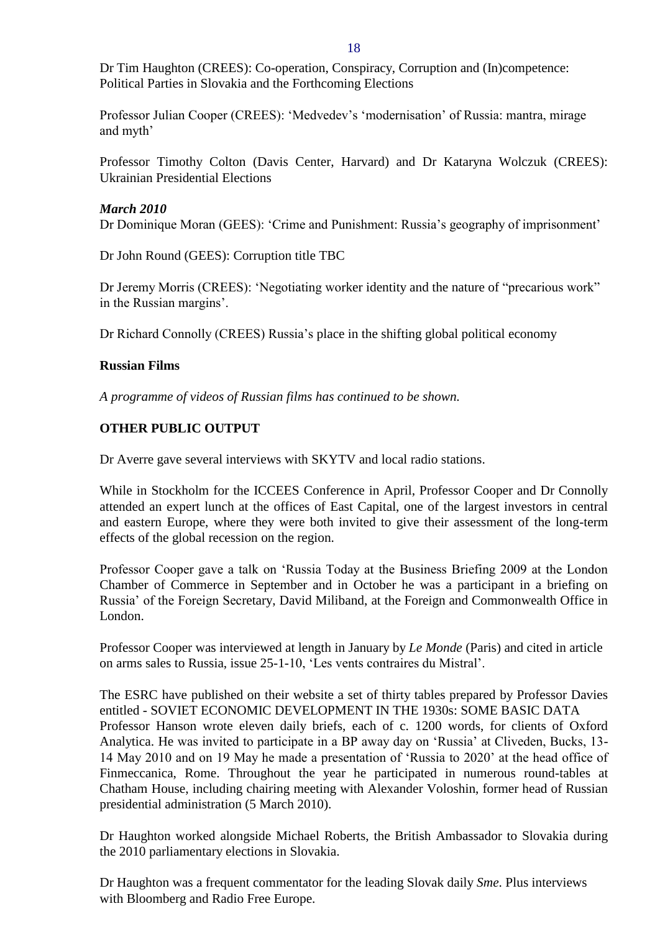Dr Tim Haughton (CREES): Co-operation, Conspiracy, Corruption and (In)competence: Political Parties in Slovakia and the Forthcoming Elections

Professor Julian Cooper (CREES): 'Medvedev's 'modernisation' of Russia: mantra, mirage and myth'

Professor Timothy Colton (Davis Center, Harvard) and Dr Kataryna Wolczuk (CREES): Ukrainian Presidential Elections

## *March 2010*

Dr Dominique Moran (GEES): 'Crime and Punishment: Russia's geography of imprisonment'

Dr John Round (GEES): Corruption title TBC

Dr Jeremy Morris (CREES): 'Negotiating worker identity and the nature of "precarious work" in the Russian margins'.

Dr Richard Connolly (CREES) Russia's place in the shifting global political economy

## <span id="page-17-0"></span>**Russian Films**

*A programme of videos of Russian films has continued to be shown.*

## <span id="page-17-1"></span>**OTHER PUBLIC OUTPUT**

Dr Averre gave several interviews with SKYTV and local radio stations.

While in Stockholm for the ICCEES Conference in April, Professor Cooper and Dr Connolly attended an expert lunch at the offices of East Capital, one of the largest investors in central and eastern Europe, where they were both invited to give their assessment of the long-term effects of the global recession on the region.

Professor Cooper gave a talk on 'Russia Today at the Business Briefing 2009 at the London Chamber of Commerce in September and in October he was a participant in a briefing on Russia' of the Foreign Secretary, David Miliband, at the Foreign and Commonwealth Office in London.

Professor Cooper was interviewed at length in January by *Le Monde* (Paris) and cited in article on arms sales to Russia, issue 25-1-10, 'Les vents contraires du Mistral'.

The ESRC have published on their website a set of thirty tables prepared by Professor Davies entitled - SOVIET ECONOMIC DEVELOPMENT IN THE 1930s: SOME BASIC DATA Professor Hanson wrote eleven daily briefs, each of c. 1200 words, for clients of Oxford Analytica. He was invited to participate in a BP away day on 'Russia' at Cliveden, Bucks, 13- 14 May 2010 and on 19 May he made a presentation of 'Russia to 2020' at the head office of Finmeccanica, Rome. Throughout the year he participated in numerous round-tables at Chatham House, including chairing meeting with Alexander Voloshin, former head of Russian presidential administration (5 March 2010).

Dr Haughton worked alongside Michael Roberts, the British Ambassador to Slovakia during the 2010 parliamentary elections in Slovakia.

Dr Haughton was a frequent commentator for the leading Slovak daily *Sme*. Plus interviews with Bloomberg and Radio Free Europe.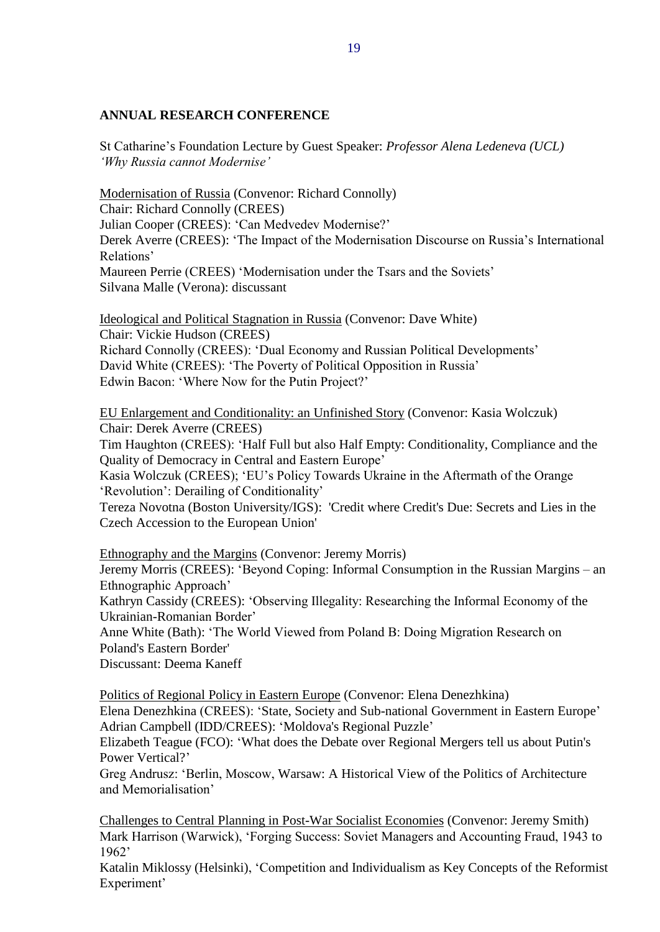## <span id="page-18-0"></span>**ANNUAL RESEARCH CONFERENCE**

St Catharine's Foundation Lecture by Guest Speaker: *Professor Alena Ledeneva (UCL) 'Why Russia cannot Modernise'*

Modernisation of Russia (Convenor: Richard Connolly) Chair: Richard Connolly (CREES) Julian Cooper (CREES): 'Can Medvedev Modernise?' Derek Averre (CREES): 'The Impact of the Modernisation Discourse on Russia's International Relations' Maureen Perrie (CREES) 'Modernisation under the Tsars and the Soviets' Silvana Malle (Verona): discussant

Ideological and Political Stagnation in Russia (Convenor: Dave White) Chair: Vickie Hudson (CREES) Richard Connolly (CREES): 'Dual Economy and Russian Political Developments' David White (CREES): 'The Poverty of Political Opposition in Russia' Edwin Bacon: 'Where Now for the Putin Project?'

EU Enlargement and Conditionality: an Unfinished Story (Convenor: Kasia Wolczuk) Chair: Derek Averre (CREES)

Tim Haughton (CREES): 'Half Full but also Half Empty: Conditionality, Compliance and the Quality of Democracy in Central and Eastern Europe'

Kasia Wolczuk (CREES); 'EU's Policy Towards Ukraine in the Aftermath of the Orange 'Revolution': Derailing of Conditionality'

Tereza Novotna (Boston University/IGS): 'Credit where Credit's Due: Secrets and Lies in the Czech Accession to the European Union'

Ethnography and the Margins (Convenor: Jeremy Morris)

Jeremy Morris (CREES): 'Beyond Coping: Informal Consumption in the Russian Margins – an Ethnographic Approach'

Kathryn Cassidy (CREES): 'Observing Illegality: Researching the Informal Economy of the Ukrainian-Romanian Border'

Anne White (Bath): 'The World Viewed from Poland B: Doing Migration Research on Poland's Eastern Border'

Discussant: Deema Kaneff

Politics of Regional Policy in Eastern Europe (Convenor: Elena Denezhkina)

Elena Denezhkina (CREES): 'State, Society and Sub-national Government in Eastern Europe' Adrian Campbell (IDD/CREES): 'Moldova's Regional Puzzle'

Elizabeth Teague (FCO): 'What does the Debate over Regional Mergers tell us about Putin's Power Vertical?'

Greg Andrusz: 'Berlin, Moscow, Warsaw: A Historical View of the Politics of Architecture and Memorialisation'

Challenges to Central Planning in Post-War Socialist Economies (Convenor: Jeremy Smith) Mark Harrison (Warwick), 'Forging Success: Soviet Managers and Accounting Fraud, 1943 to 1962'

Katalin Miklossy (Helsinki), 'Competition and Individualism as Key Concepts of the Reformist Experiment'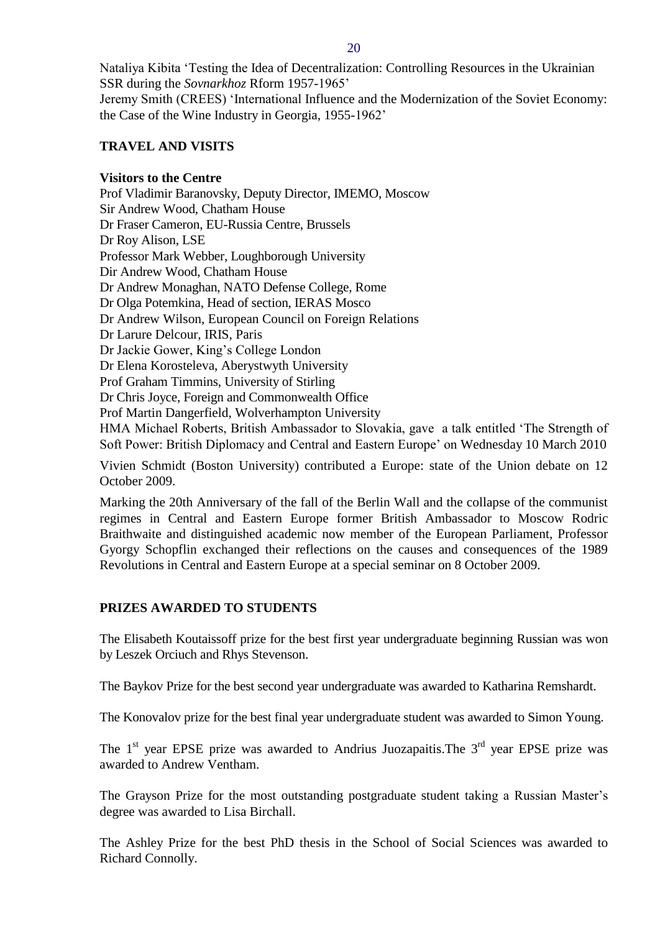Nataliya Kibita 'Testing the Idea of Decentralization: Controlling Resources in the Ukrainian SSR during the *Sovnarkhoz* Rform 1957-1965' Jeremy Smith (CREES) 'International Influence and the Modernization of the Soviet Economy: the Case of the Wine Industry in Georgia, 1955-1962'

## <span id="page-19-0"></span>**TRAVEL AND VISITS**

#### **Visitors to the Centre**

Prof Vladimir Baranovsky, Deputy Director, IMEMO, Moscow Sir Andrew Wood, Chatham House Dr Fraser Cameron, EU-Russia Centre, Brussels Dr Roy Alison, LSE Professor Mark Webber, Loughborough University Dir Andrew Wood, Chatham House Dr Andrew Monaghan, NATO Defense College, Rome Dr Olga Potemkina, [Head](mailto:olga_potemkina@mail.ru) of section, IERAS Mosco Dr Andrew Wilson, [European](mailto:andrew.wilson@ecfr.eu) Council on Foreign Relations Dr Larure Delcour, IRIS, Paris Dr Jackie Gower, King's College London Dr Elena Korosteleva, Aberystwyth University Prof Graham Timmins, [University](mailto:graham.timmins@stir.ac.uk) of Stirling Dr Chris Joyce, Foreign and Commonwealth Office Prof Martin Dangerfield, Wolverhampton University HMA Michael Roberts, British Ambassador to Slovakia, gave a talk entitled 'The Strength of Soft Power: British Diplomacy and Central and Eastern Europe' on Wednesday 10 March 2010

Vivien Schmidt (Boston University) contributed a Europe: state of the Union debate on 12 October 2009.

Marking the 20th Anniversary of the fall of the Berlin Wall and the collapse of the communist regimes in Central and Eastern Europe former British Ambassador to Moscow Rodric Braithwaite and distinguished academic now member of the European Parliament, Professor Gyorgy Schopflin exchanged their reflections on the causes and consequences of the 1989 Revolutions in Central and Eastern Europe at a special seminar on 8 October 2009.

## <span id="page-19-1"></span>**PRIZES AWARDED TO STUDENTS**

The Elisabeth Koutaissoff prize for the best first year undergraduate beginning Russian was won by Leszek Orciuch and Rhys Stevenson.

The Baykov Prize for the best second year undergraduate was awarded to Katharina Remshardt.

The Konovalov prize for the best final year undergraduate student was awarded to Simon Young.

The  $1<sup>st</sup>$  year EPSE prize was awarded to Andrius Juozapaitis. The  $3<sup>rd</sup>$  year EPSE prize was awarded to Andrew Ventham.

The Grayson Prize for the most outstanding postgraduate student taking a Russian Master's degree was awarded to Lisa Birchall.

The Ashley Prize for the best PhD thesis in the School of Social Sciences was awarded to Richard Connolly.